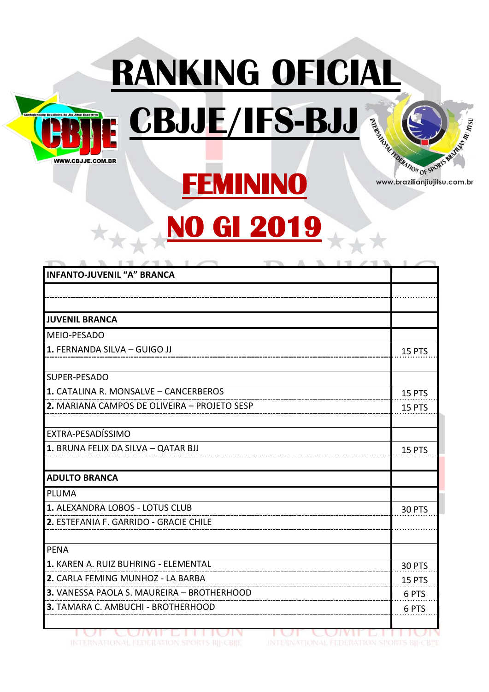

大大大



www.brazilianjiujitsu.com.br

## **NO GI 2019**

**FEMININO** 

**RANKING OFICIAL** 

| <b>INFANTO-JUVENIL "A" BRANCA</b>            |        |
|----------------------------------------------|--------|
|                                              |        |
| <b>JUVENIL BRANCA</b>                        |        |
| MEIO-PESADO                                  |        |
| 1. FERNANDA SILVA - GUIGO JJ                 | 15 PTS |
| SUPER-PESADO                                 |        |
| 1. CATALINA R. MONSALVE - CANCERBEROS        | 15 PTS |
| 2. MARIANA CAMPOS DE OLIVEIRA - PROJETO SESP | 15 PTS |
| EXTRA-PESADÍSSIMO                            |        |
| 1. BRUNA FELIX DA SILVA - QATAR BJJ          | 15 PTS |
| <b>ADULTO BRANCA</b>                         |        |
| <b>PLUMA</b>                                 |        |
| 1. ALEXANDRA LOBOS - LOTUS CLUB              | 30 PTS |
| 2. ESTEFANIA F. GARRIDO - GRACIE CHILE       |        |
| <b>PENA</b>                                  |        |
| 1. KAREN A. RUIZ BUHRING - ELEMENTAL         | 30 PTS |
| 2. CARLA FEMING MUNHOZ - LA BARBA            | 15 PTS |
| 3. VANESSA PAOLA S. MAUREIRA - BROTHERHOOD   | 6 PTS  |
| 3. TAMARA C. AMBUCHI - BROTHERHOOD           | 6 PTS  |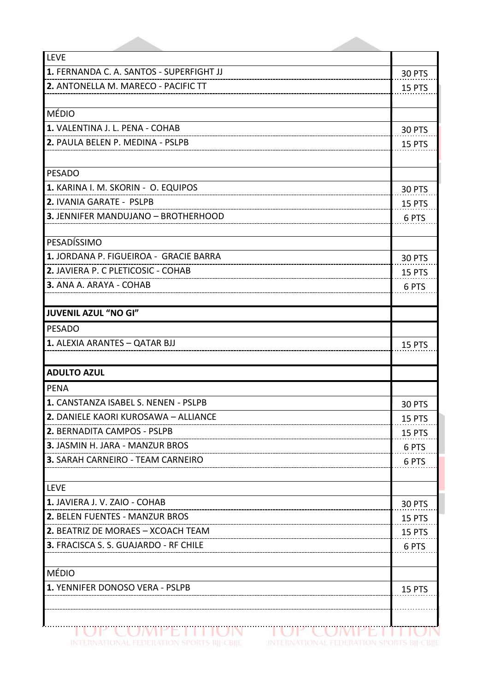| LEVE                                     |               |
|------------------------------------------|---------------|
| 1. FERNANDA C. A. SANTOS - SUPERFIGHT JJ | 30 PTS        |
| 2. ANTONELLA M. MARECO - PACIFIC TT      | 15 PTS        |
|                                          |               |
| <b>MÉDIO</b>                             |               |
| 1. VALENTINA J. L. PENA - COHAB          | <b>30 PTS</b> |
| 2. PAULA BELEN P. MEDINA - PSLPB         | 15 PTS        |
|                                          |               |
| <b>PESADO</b>                            |               |
| 1. KARINA I. M. SKORIN - O. EQUIPOS      | 30 PTS        |
| 2. IVANIA GARATE - PSLPB                 | 15 PTS        |
| 3. JENNIFER MANDUJANO - BROTHERHOOD      | 6 PTS         |
|                                          |               |
| PESADÍSSIMO                              |               |
| 1. JORDANA P. FIGUEIROA - GRACIE BARRA   | 30 PTS        |
| 2. JAVIERA P. C PLETICOSIC - COHAB       | 15 PTS        |
| 3. ANA A. ARAYA - COHAB                  | 6 PTS         |
|                                          |               |
| <b>JUVENIL AZUL "NO GI"</b>              |               |
| <b>PESADO</b>                            |               |
| 1. ALEXIA ARANTES - QATAR BJJ            | 15 PTS        |
|                                          |               |
| <b>ADULTO AZUL</b>                       |               |
| <b>PENA</b>                              |               |
| 1. CANSTANZA ISABEL S. NENEN - PSLPB     | 30 PTS        |
| 2. DANIELE KAORI KUROSAWA - ALLIANCE     | 15 PTS        |
| 2. BERNADITA CAMPOS - PSLPB              | 15 PTS        |
| 3. JASMIN H. JARA - MANZUR BROS          | 6 PTS         |
| 3. SARAH CARNEIRO - TEAM CARNEIRO        | 6 PTS         |
|                                          |               |
| <b>LEVE</b>                              |               |
| 1. JAVIERA J. V. ZAIO - COHAB            | 30 PTS        |
| 2. BELEN FUENTES - MANZUR BROS           | 15 PTS        |
| 2. BEATRIZ DE MORAES - XCOACH TEAM       | 15 PTS        |
| 3. FRACISCA S. S. GUAJARDO - RF CHILE    | 6 PTS         |
|                                          |               |
| <b>MÉDIO</b>                             |               |
| 1. YENNIFER DONOSO VERA - PSLPB          | 15 PTS        |
|                                          |               |
|                                          |               |
|                                          |               |

INTERNATIONAL FEDERATION SPORTS BIJ-CBIJE INTERNATIONAL FEDERATION SPORTS BIJ-CBIJE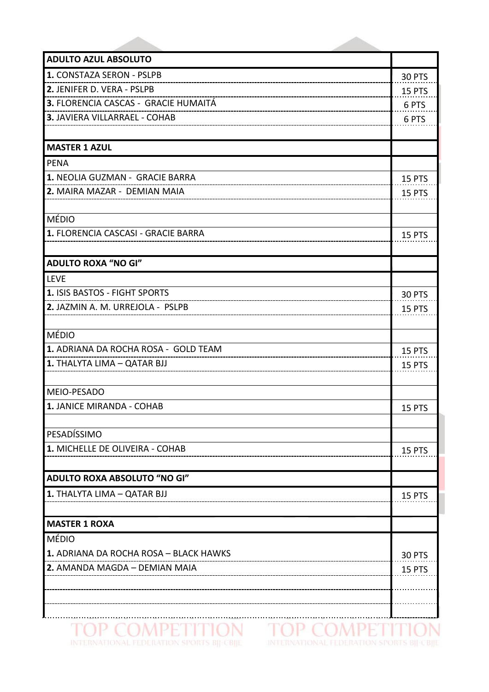| <b>ADULTO AZUL ABSOLUTO</b>            |               |
|----------------------------------------|---------------|
| 1. CONSTAZA SERON - PSLPB              | 30 PTS        |
| 2. JENIFER D. VERA - PSLPB             | 15 PTS        |
| 3. FLORENCIA CASCAS - GRACIE HUMAITÁ   | 6 PTS         |
| 3. JAVIERA VILLARRAEL - COHAB          | 6 PTS         |
|                                        |               |
| <b>MASTER 1 AZUL</b>                   |               |
| <b>PENA</b>                            |               |
| 1. NEOLIA GUZMAN - GRACIE BARRA        | 15 PTS        |
| 2. MAIRA MAZAR - DEMIAN MAIA           | 15 PTS        |
|                                        |               |
| MÉDIO                                  |               |
| 1. FLORENCIA CASCASI - GRACIE BARRA    | 15 PTS        |
|                                        |               |
| <b>ADULTO ROXA "NO GI"</b>             |               |
| <b>LEVE</b>                            |               |
| 1. ISIS BASTOS - FIGHT SPORTS          | <b>30 PTS</b> |
| 2. JAZMIN A. M. URREJOLA - PSLPB       | <b>15 PTS</b> |
|                                        |               |
| MÉDIO                                  |               |
| 1. ADRIANA DA ROCHA ROSA - GOLD TEAM   | 15 PTS        |
| 1. THALYTA LIMA - QATAR BJJ            | 15 PTS        |
|                                        |               |
| MEIO-PESADO                            |               |
| 1. JANICE MIRANDA - COHAB              | 15 PTS        |
|                                        |               |
| PESADÍSSIMO                            |               |
| 1. MICHELLE DE OLIVEIRA - COHAB        | 15 PTS        |
|                                        |               |
| ADULTO ROXA ABSOLUTO "NO GI"           |               |
| 1. THALYTA LIMA - QATAR BJJ            | 15 PTS        |
|                                        |               |
| <b>MASTER 1 ROXA</b>                   |               |
| MÉDIO                                  |               |
| 1. ADRIANA DA ROCHA ROSA - BLACK HAWKS | 30 PTS        |
| 2. AMANDA MAGDA - DEMIAN MAIA          | 15 PTS        |
|                                        |               |
|                                        |               |
|                                        |               |
|                                        |               |

TOP COMPETITION TOP COMPETITION